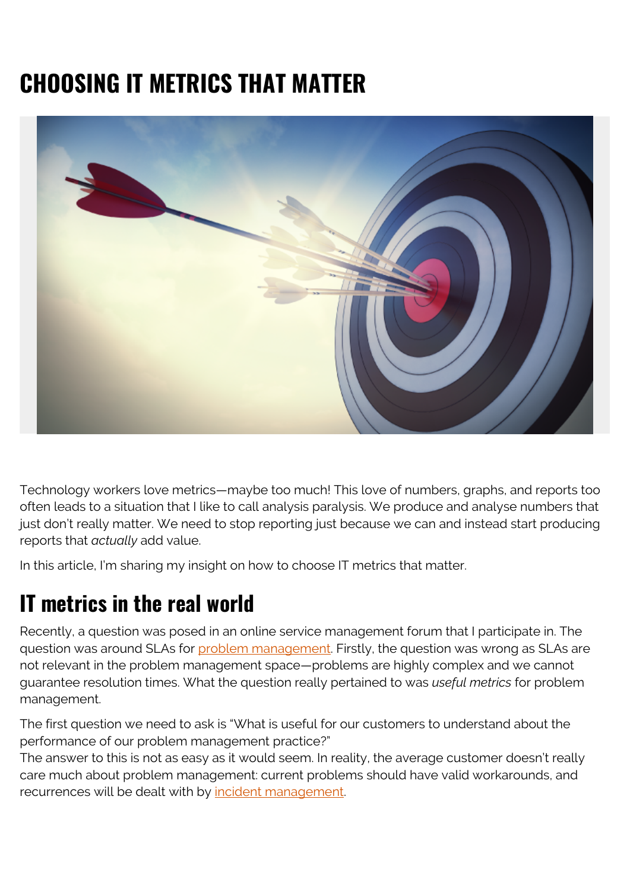# **CHOOSING IT METRICS THAT MATTER**



Technology workers love metrics—maybe too much! This love of numbers, graphs, and reports too often leads to a situation that I like to call analysis paralysis. We produce and analyse numbers that just don't really matter. We need to stop reporting just because we can and instead start producing reports that *actually* add value.

In this article, I'm sharing my insight on how to choose IT metrics that matter.

#### **IT metrics in the real world**

Recently, a question was posed in an online service management forum that I participate in. The question was around SLAs for [problem management.](https://blogs.bmc.com/blogs/reactive-vs-proactive-problem-management/) Firstly, the question was wrong as SLAs are not relevant in the problem management space—problems are highly complex and we cannot guarantee resolution times. What the question really pertained to was *useful metrics* for problem management.

The first question we need to ask is "What is useful for our customers to understand about the performance of our problem management practice?"

The answer to this is not as easy as it would seem. In reality, the average customer doesn't really care much about problem management: current problems should have valid workarounds, and recurrences will be dealt with by [incident management](https://blogs.bmc.com/blogs/incident-management-vs-problem-management-whats-the-difference/).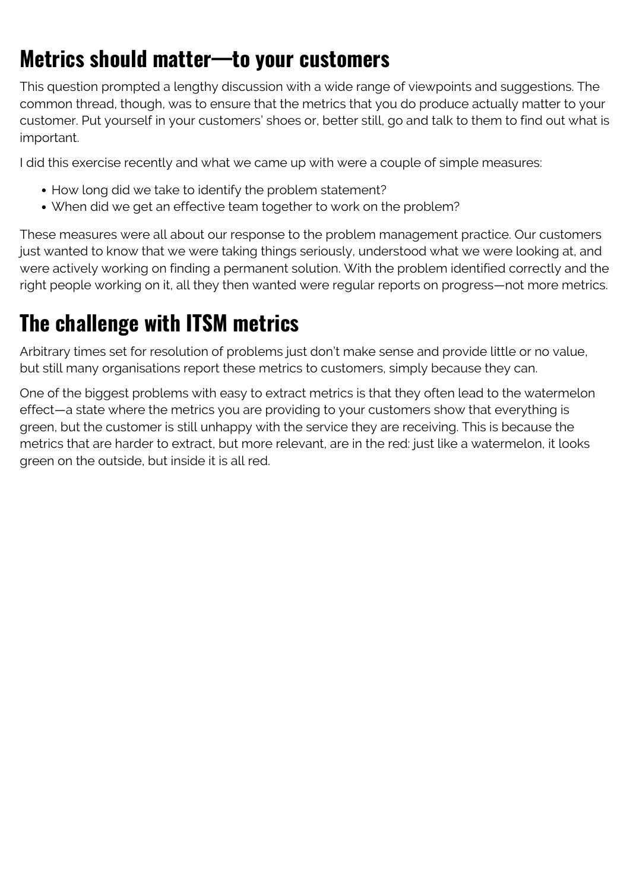### **Metrics should matter—to your customers**

This question prompted a lengthy discussion with a wide range of viewpoints and suggestions. The common thread, though, was to ensure that the metrics that you do produce actually matter to your customer. Put yourself in your customers' shoes or, better still, go and talk to them to find out what is important.

I did this exercise recently and what we came up with were a couple of simple measures:

- How long did we take to identify the problem statement?
- When did we get an effective team together to work on the problem?

These measures were all about our response to the problem management practice. Our customers just wanted to know that we were taking things seriously, understood what we were looking at, and were actively working on finding a permanent solution. With the problem identified correctly and the right people working on it, all they then wanted were regular reports on progress—not more metrics.

### **The challenge with ITSM metrics**

Arbitrary times set for resolution of problems just don't make sense and provide little or no value, but still many organisations report these metrics to customers, simply because they can.

One of the biggest problems with easy to extract metrics is that they often lead to the watermelon effect—a state where the metrics you are providing to your customers show that everything is green, but the customer is still unhappy with the service they are receiving. This is because the metrics that are harder to extract, but more relevant, are in the red: just like a watermelon, it looks green on the outside, but inside it is all red.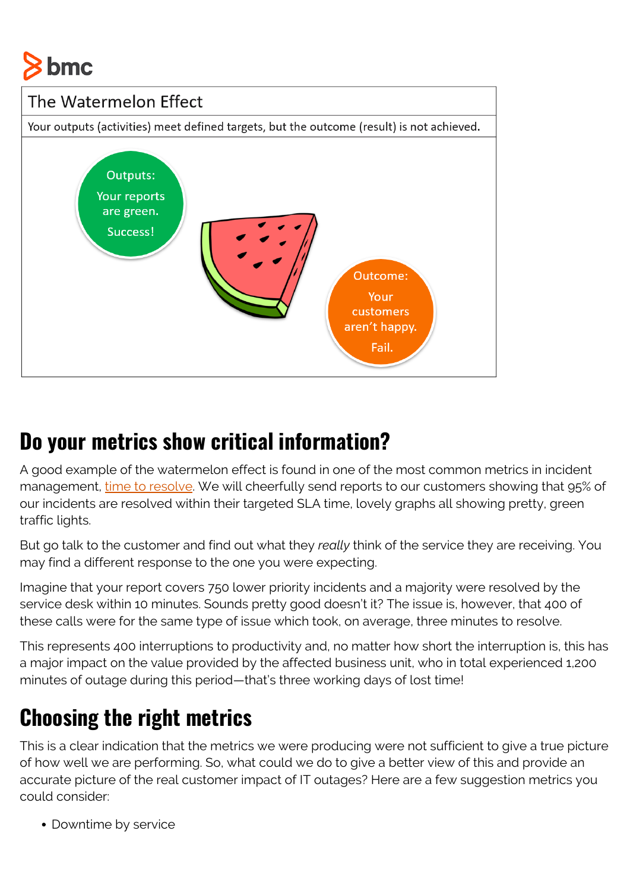



#### **Do your metrics show critical information?**

A good example of the watermelon effect is found in one of the most common metrics in incident management, [time to resolve](https://blogs.bmc.com/blogs/mttr-mean-time-to-resolve/). We will cheerfully send reports to our customers showing that 95% of our incidents are resolved within their targeted SLA time, lovely graphs all showing pretty, green traffic lights.

But go talk to the customer and find out what they *really* think of the service they are receiving. You may find a different response to the one you were expecting.

Imagine that your report covers 750 lower priority incidents and a majority were resolved by the service desk within 10 minutes. Sounds pretty good doesn't it? The issue is, however, that 400 of these calls were for the same type of issue which took, on average, three minutes to resolve.

This represents 400 interruptions to productivity and, no matter how short the interruption is, this has a major impact on the value provided by the affected business unit, who in total experienced 1,200 minutes of outage during this period—that's three working days of lost time!

## **Choosing the right metrics**

This is a clear indication that the metrics we were producing were not sufficient to give a true picture of how well we are performing. So, what could we do to give a better view of this and provide an accurate picture of the real customer impact of IT outages? Here are a few suggestion metrics you could consider:

Downtime by service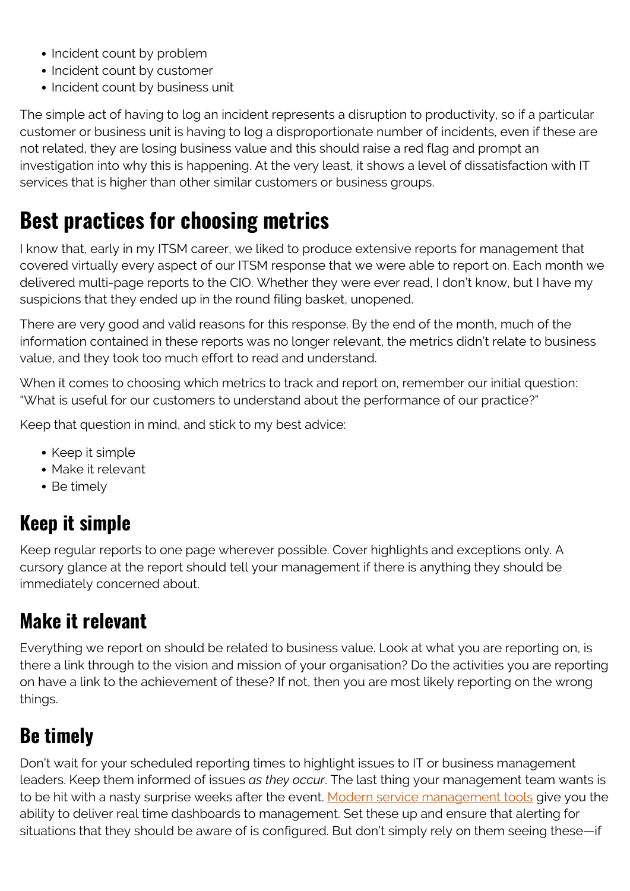- Incident count by problem
- Incident count by customer
- Incident count by business unit

The simple act of having to log an incident represents a disruption to productivity, so if a particular customer or business unit is having to log a disproportionate number of incidents, even if these are not related, they are losing business value and this should raise a red flag and prompt an investigation into why this is happening. At the very least, it shows a level of dissatisfaction with IT services that is higher than other similar customers or business groups.

### **Best practices for choosing metrics**

I know that, early in my ITSM career, we liked to produce extensive reports for management that covered virtually every aspect of our ITSM response that we were able to report on. Each month we delivered multi-page reports to the CIO. Whether they were ever read, I don't know, but I have my suspicions that they ended up in the round filing basket, unopened.

There are very good and valid reasons for this response. By the end of the month, much of the information contained in these reports was no longer relevant, the metrics didn't relate to business value, and they took too much effort to read and understand.

When it comes to choosing which metrics to track and report on, remember our initial question: "What is useful for our customers to understand about the performance of our practice?"

Keep that question in mind, and stick to my best advice:

- Keep it simple
- Make it relevant
- Be timely

#### **Keep it simple**

Keep regular reports to one page wherever possible. Cover highlights and exceptions only. A cursory glance at the report should tell your management if there is anything they should be immediately concerned about.

#### **Make it relevant**

Everything we report on should be related to business value. Look at what you are reporting on, is there a link through to the vision and mission of your organisation? Do the activities you are reporting on have a link to the achievement of these? If not, then you are most likely reporting on the wrong things.

#### **Be timely**

Don't wait for your scheduled reporting times to highlight issues to IT or business management leaders. Keep them informed of issues *as they occur*. The last thing your management team wants is to be hit with a nasty surprise weeks after the event. [Modern service management tools](https://blogs.bmc.com/it-solutions/it-service-management.html) give you the ability to deliver real time dashboards to management. Set these up and ensure that alerting for situations that they should be aware of is configured. But don't simply rely on them seeing these—if